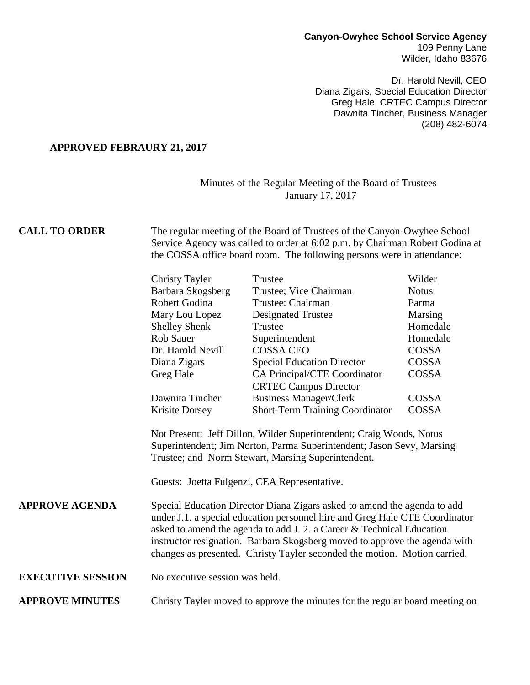# **Canyon-Owyhee School Service Agency** 109 Penny Lane

Wilder, Idaho 83676

Dr. Harold Nevill, CEO Diana Zigars, Special Education Director Greg Hale, CRTEC Campus Director Dawnita Tincher, Business Manager (208) 482-6074

#### **APPROVED FEBRAURY 21, 2017**

### Minutes of the Regular Meeting of the Board of Trustees January 17, 2017

## **CALL TO ORDER** The regular meeting of the Board of Trustees of the Canyon-Owyhee School Service Agency was called to order at 6:02 p.m. by Chairman Robert Godina at the COSSA office board room. The following persons were in attendance:

| Trustee                                | Wilder       |
|----------------------------------------|--------------|
| Trustee; Vice Chairman                 | <b>Notus</b> |
| Trustee: Chairman                      | Parma        |
| <b>Designated Trustee</b>              | Marsing      |
| Trustee                                | Homedale     |
| Superintendent                         | Homedale     |
| <b>COSSA CEO</b>                       | COSSA        |
| <b>Special Education Director</b>      | COSSA        |
| CA Principal/CTE Coordinator           | COSSA        |
| <b>CRTEC Campus Director</b>           |              |
| <b>Business Manager/Clerk</b>          | COSSA        |
| <b>Short-Term Training Coordinator</b> | COSSA        |
|                                        |              |

Not Present: Jeff Dillon, Wilder Superintendent; Craig Woods, Notus Superintendent; Jim Norton, Parma Superintendent; Jason Sevy, Marsing Trustee; and Norm Stewart, Marsing Superintendent.

Guests: Joetta Fulgenzi, CEA Representative.

**APPROVE AGENDA** Special Education Director Diana Zigars asked to amend the agenda to add under J.1. a special education personnel hire and Greg Hale CTE Coordinator asked to amend the agenda to add J. 2. a Career & Technical Education instructor resignation. Barbara Skogsberg moved to approve the agenda with changes as presented. Christy Tayler seconded the motion. Motion carried.

### **EXECUTIVE SESSION** No executive session was held.

### **APPROVE MINUTES** Christy Tayler moved to approve the minutes for the regular board meeting on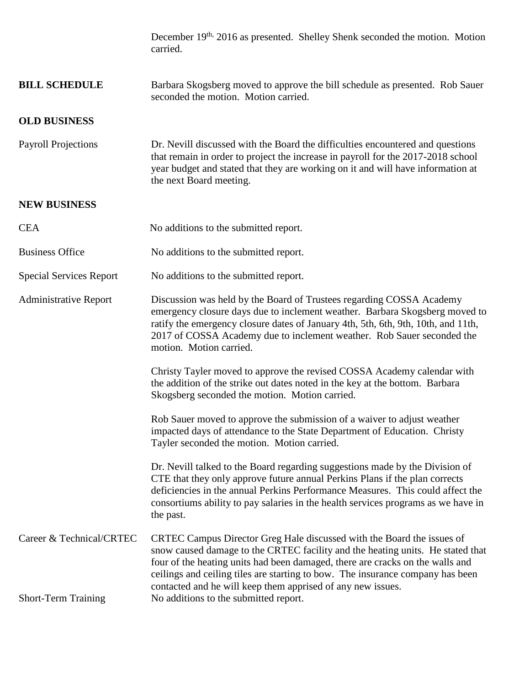|                                                        | December 19 <sup>th,</sup> 2016 as presented. Shelley Shenk seconded the motion. Motion<br>carried.                                                                                                                                                                                                                                                                                                                                 |
|--------------------------------------------------------|-------------------------------------------------------------------------------------------------------------------------------------------------------------------------------------------------------------------------------------------------------------------------------------------------------------------------------------------------------------------------------------------------------------------------------------|
| <b>BILL SCHEDULE</b>                                   | Barbara Skogsberg moved to approve the bill schedule as presented. Rob Sauer<br>seconded the motion. Motion carried.                                                                                                                                                                                                                                                                                                                |
| <b>OLD BUSINESS</b>                                    |                                                                                                                                                                                                                                                                                                                                                                                                                                     |
| <b>Payroll Projections</b>                             | Dr. Nevill discussed with the Board the difficulties encountered and questions<br>that remain in order to project the increase in payroll for the 2017-2018 school<br>year budget and stated that they are working on it and will have information at<br>the next Board meeting.                                                                                                                                                    |
| <b>NEW BUSINESS</b>                                    |                                                                                                                                                                                                                                                                                                                                                                                                                                     |
| <b>CEA</b>                                             | No additions to the submitted report.                                                                                                                                                                                                                                                                                                                                                                                               |
| <b>Business Office</b>                                 | No additions to the submitted report.                                                                                                                                                                                                                                                                                                                                                                                               |
| <b>Special Services Report</b>                         | No additions to the submitted report.                                                                                                                                                                                                                                                                                                                                                                                               |
| <b>Administrative Report</b>                           | Discussion was held by the Board of Trustees regarding COSSA Academy<br>emergency closure days due to inclement weather. Barbara Skogsberg moved to<br>ratify the emergency closure dates of January 4th, 5th, 6th, 9th, 10th, and 11th,<br>2017 of COSSA Academy due to inclement weather. Rob Sauer seconded the<br>motion. Motion carried.                                                                                       |
|                                                        | Christy Tayler moved to approve the revised COSSA Academy calendar with<br>the addition of the strike out dates noted in the key at the bottom. Barbara<br>Skogsberg seconded the motion. Motion carried.                                                                                                                                                                                                                           |
|                                                        | Rob Sauer moved to approve the submission of a waiver to adjust weather<br>impacted days of attendance to the State Department of Education. Christy<br>Tayler seconded the motion. Motion carried.                                                                                                                                                                                                                                 |
|                                                        | Dr. Nevill talked to the Board regarding suggestions made by the Division of<br>CTE that they only approve future annual Perkins Plans if the plan corrects<br>deficiencies in the annual Perkins Performance Measures. This could affect the<br>consortiums ability to pay salaries in the health services programs as we have in<br>the past.                                                                                     |
| Career & Technical/CRTEC<br><b>Short-Term Training</b> | CRTEC Campus Director Greg Hale discussed with the Board the issues of<br>snow caused damage to the CRTEC facility and the heating units. He stated that<br>four of the heating units had been damaged, there are cracks on the walls and<br>ceilings and ceiling tiles are starting to bow. The insurance company has been<br>contacted and he will keep them apprised of any new issues.<br>No additions to the submitted report. |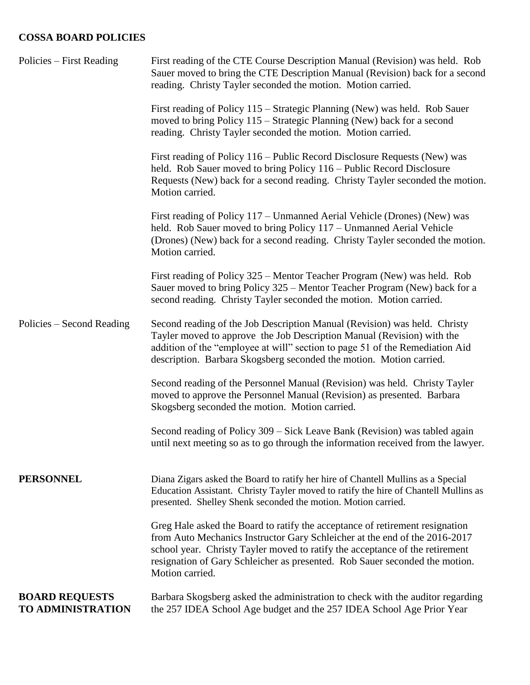# **COSSA BOARD POLICIES**

| Policies – First Reading                          | First reading of the CTE Course Description Manual (Revision) was held. Rob<br>Sauer moved to bring the CTE Description Manual (Revision) back for a second<br>reading. Christy Tayler seconded the motion. Motion carried.                                                                                                                  |
|---------------------------------------------------|----------------------------------------------------------------------------------------------------------------------------------------------------------------------------------------------------------------------------------------------------------------------------------------------------------------------------------------------|
|                                                   | First reading of Policy 115 – Strategic Planning (New) was held. Rob Sauer<br>moved to bring Policy 115 – Strategic Planning (New) back for a second<br>reading. Christy Tayler seconded the motion. Motion carried.                                                                                                                         |
|                                                   | First reading of Policy 116 – Public Record Disclosure Requests (New) was<br>held. Rob Sauer moved to bring Policy 116 – Public Record Disclosure<br>Requests (New) back for a second reading. Christy Tayler seconded the motion.<br>Motion carried.                                                                                        |
|                                                   | First reading of Policy 117 – Unmanned Aerial Vehicle (Drones) (New) was<br>held. Rob Sauer moved to bring Policy 117 – Unmanned Aerial Vehicle<br>(Drones) (New) back for a second reading. Christy Tayler seconded the motion.<br>Motion carried.                                                                                          |
|                                                   | First reading of Policy 325 – Mentor Teacher Program (New) was held. Rob<br>Sauer moved to bring Policy 325 – Mentor Teacher Program (New) back for a<br>second reading. Christy Tayler seconded the motion. Motion carried.                                                                                                                 |
| Policies – Second Reading                         | Second reading of the Job Description Manual (Revision) was held. Christy<br>Tayler moved to approve the Job Description Manual (Revision) with the<br>addition of the "employee at will" section to page 51 of the Remediation Aid<br>description. Barbara Skogsberg seconded the motion. Motion carried.                                   |
|                                                   | Second reading of the Personnel Manual (Revision) was held. Christy Tayler<br>moved to approve the Personnel Manual (Revision) as presented. Barbara<br>Skogsberg seconded the motion. Motion carried.                                                                                                                                       |
|                                                   | Second reading of Policy 309 – Sick Leave Bank (Revision) was tabled again<br>until next meeting so as to go through the information received from the lawyer.                                                                                                                                                                               |
| <b>PERSONNEL</b>                                  | Diana Zigars asked the Board to ratify her hire of Chantell Mullins as a Special<br>Education Assistant. Christy Tayler moved to ratify the hire of Chantell Mullins as<br>presented. Shelley Shenk seconded the motion. Motion carried.                                                                                                     |
|                                                   | Greg Hale asked the Board to ratify the acceptance of retirement resignation<br>from Auto Mechanics Instructor Gary Schleicher at the end of the 2016-2017<br>school year. Christy Tayler moved to ratify the acceptance of the retirement<br>resignation of Gary Schleicher as presented. Rob Sauer seconded the motion.<br>Motion carried. |
| <b>BOARD REQUESTS</b><br><b>TO ADMINISTRATION</b> | Barbara Skogsberg asked the administration to check with the auditor regarding<br>the 257 IDEA School Age budget and the 257 IDEA School Age Prior Year                                                                                                                                                                                      |